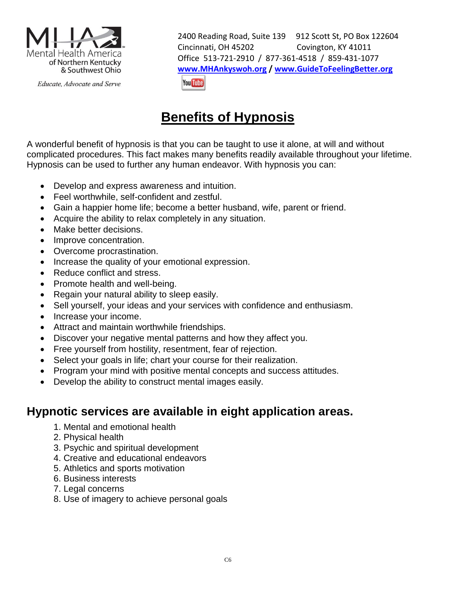

Educate, Advocate and Serve

2400 Reading Road, Suite 139 912 Scott St, PO Box 122604 Cincinnati, OH 45202 Covington, KY 41011 Office 513-721-2910 / 877-361-4518 / 859-431-1077 **[www.MHAnkyswoh.org](http://www.mhankyswoh.org/) [/ www.GuideToFeelingBetter.org](http://www.guidetofeelingbetter.org/)You Tube** 

# **Benefits of Hypnosis**

A wonderful benefit of hypnosis is that you can be taught to use it alone, at will and without complicated procedures. This fact makes many benefits readily available throughout your lifetime. Hypnosis can be used to further any human endeavor. With hypnosis you can:

- Develop and express awareness and intuition.
- Feel worthwhile, self-confident and zestful.
- Gain a happier home life; become a better husband, wife, parent or friend.
- Acquire the ability to relax completely in any situation.
- Make better decisions.
- Improve concentration.
- Overcome procrastination.
- Increase the quality of your emotional expression.
- Reduce conflict and stress.
- Promote health and well-being.
- Regain your natural ability to sleep easily.
- Sell yourself, your ideas and your services with confidence and enthusiasm.
- Increase your income.
- Attract and maintain worthwhile friendships.
- Discover your negative mental patterns and how they affect you.
- Free yourself from hostility, resentment, fear of rejection.
- Select your goals in life; chart your course for their realization.
- Program your mind with positive mental concepts and success attitudes.
- Develop the ability to construct mental images easily.

### **Hypnotic services are available in eight application areas.**

- 1. Mental and emotional health
- 2. Physical health
- 3. Psychic and spiritual development
- 4. Creative and educational endeavors
- 5. Athletics and sports motivation
- 6. Business interests
- 7. Legal concerns
- 8. Use of imagery to achieve personal goals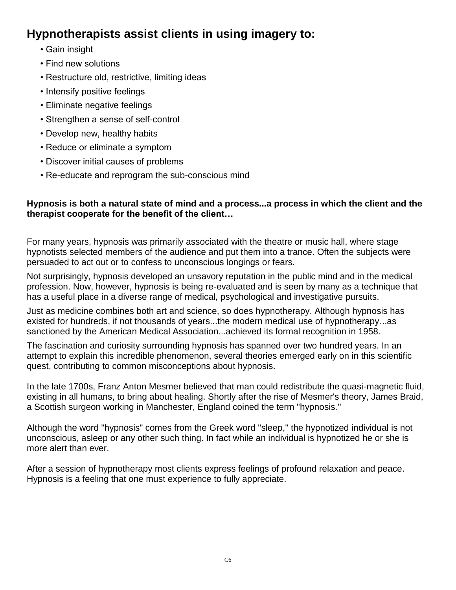## **Hypnotherapists assist clients in using imagery to:**

- Gain insight
- Find new solutions
- Restructure old, restrictive, limiting ideas
- Intensify positive feelings
- Eliminate negative feelings
- Strengthen a sense of self-control
- Develop new, healthy habits
- Reduce or eliminate a symptom
- Discover initial causes of problems
- Re-educate and reprogram the sub-conscious mind

#### **Hypnosis is both a natural state of mind and a process...a process in which the client and the therapist cooperate for the benefit of the client…**

For many years, hypnosis was primarily associated with the theatre or music hall, where stage hypnotists selected members of the audience and put them into a trance. Often the subjects were persuaded to act out or to confess to unconscious longings or fears.

Not surprisingly, hypnosis developed an unsavory reputation in the public mind and in the medical profession. Now, however, hypnosis is being re-evaluated and is seen by many as a technique that has a useful place in a diverse range of medical, psychological and investigative pursuits.

Just as medicine combines both art and science, so does hypnotherapy. Although hypnosis has existed for hundreds, if not thousands of years...the modern medical use of hypnotherapy...as sanctioned by the American Medical Association...achieved its formal recognition in 1958.

The fascination and curiosity surrounding hypnosis has spanned over two hundred years. In an attempt to explain this incredible phenomenon, several theories emerged early on in this scientific quest, contributing to common misconceptions about hypnosis.

In the late 1700s, Franz Anton Mesmer believed that man could redistribute the quasi-magnetic fluid, existing in all humans, to bring about healing. Shortly after the rise of Mesmer's theory, James Braid, a Scottish surgeon working in Manchester, England coined the term "hypnosis."

Although the word "hypnosis" comes from the Greek word "sleep," the hypnotized individual is not unconscious, asleep or any other such thing. In fact while an individual is hypnotized he or she is more alert than ever.

After a session of hypnotherapy most clients express feelings of profound relaxation and peace. Hypnosis is a feeling that one must experience to fully appreciate.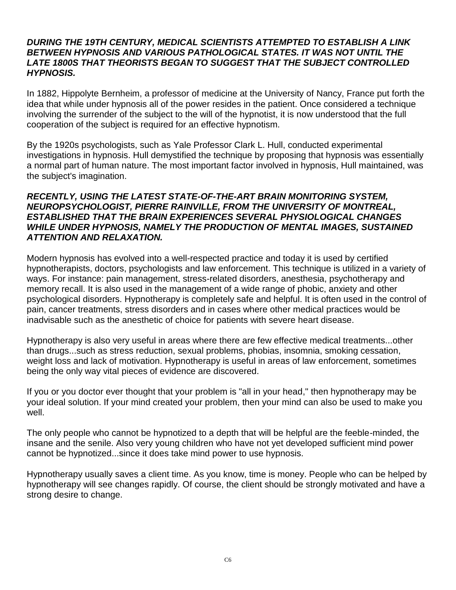#### *DURING THE 19TH CENTURY, MEDICAL SCIENTISTS ATTEMPTED TO ESTABLISH A LINK BETWEEN HYPNOSIS AND VARIOUS PATHOLOGICAL STATES. IT WAS NOT UNTIL THE LATE 1800S THAT THEORISTS BEGAN TO SUGGEST THAT THE SUBJECT CONTROLLED HYPNOSIS.*

In 1882, Hippolyte Bernheim, a professor of medicine at the University of Nancy, France put forth the idea that while under hypnosis all of the power resides in the patient. Once considered a technique involving the surrender of the subject to the will of the hypnotist, it is now understood that the full cooperation of the subject is required for an effective hypnotism.

By the 1920s psychologists, such as Yale Professor Clark L. Hull, conducted experimental investigations in hypnosis. Hull demystified the technique by proposing that hypnosis was essentially a normal part of human nature. The most important factor involved in hypnosis, Hull maintained, was the subject's imagination.

#### *RECENTLY, USING THE LATEST STATE-OF-THE-ART BRAIN MONITORING SYSTEM, NEUROPSYCHOLOGIST, PIERRE RAINVILLE, FROM THE UNIVERSITY OF MONTREAL, ESTABLISHED THAT THE BRAIN EXPERIENCES SEVERAL PHYSIOLOGICAL CHANGES WHILE UNDER HYPNOSIS, NAMELY THE PRODUCTION OF MENTAL IMAGES, SUSTAINED ATTENTION AND RELAXATION.*

Modern hypnosis has evolved into a well-respected practice and today it is used by certified hypnotherapists, doctors, psychologists and law enforcement. This technique is utilized in a variety of ways. For instance: pain management, stress-related disorders, anesthesia, psychotherapy and memory recall. It is also used in the management of a wide range of phobic, anxiety and other psychological disorders. Hypnotherapy is completely safe and helpful. It is often used in the control of pain, cancer treatments, stress disorders and in cases where other medical practices would be inadvisable such as the anesthetic of choice for patients with severe heart disease.

Hypnotherapy is also very useful in areas where there are few effective medical treatments...other than drugs...such as stress reduction, sexual problems, phobias, insomnia, smoking cessation, weight loss and lack of motivation. Hypnotherapy is useful in areas of law enforcement, sometimes being the only way vital pieces of evidence are discovered.

If you or you doctor ever thought that your problem is "all in your head," then hypnotherapy may be your ideal solution. If your mind created your problem, then your mind can also be used to make you well.

The only people who cannot be hypnotized to a depth that will be helpful are the feeble-minded, the insane and the senile. Also very young children who have not yet developed sufficient mind power cannot be hypnotized...since it does take mind power to use hypnosis.

Hypnotherapy usually saves a client time. As you know, time is money. People who can be helped by hypnotherapy will see changes rapidly. Of course, the client should be strongly motivated and have a strong desire to change.